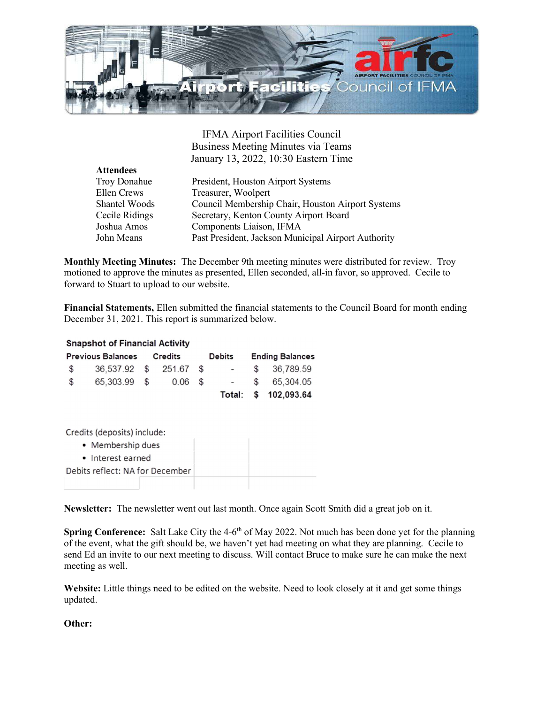

IFMA Airport Facilities Council Business Meeting Minutes via Teams January 13, 2022, 10:30 Eastern Time

| <b>Attendees</b> |                                                     |
|------------------|-----------------------------------------------------|
| Troy Donahue     | President, Houston Airport Systems                  |
| Ellen Crews      | Treasurer, Woolpert                                 |
| Shantel Woods    | Council Membership Chair, Houston Airport Systems   |
| Cecile Ridings   | Secretary, Kenton County Airport Board              |
| Joshua Amos      | Components Liaison, IFMA                            |
| John Means       | Past President, Jackson Municipal Airport Authority |

Monthly Meeting Minutes: The December 9th meeting minutes were distributed for review. Troy motioned to approve the minutes as presented, Ellen seconded, all-in favor, so approved. Cecile to forward to Stuart to upload to our website.

Financial Statements, Ellen submitted the financial statements to the Council Board for month ending December 31, 2021. This report is summarized below.

## **Snapshot of Financial Activity**

| <b>Previous Balances Credits</b> |                        |  |           | <b>Debits</b> |        | <b>Ending Balances</b> |                      |
|----------------------------------|------------------------|--|-----------|---------------|--------|------------------------|----------------------|
| $\mathbb{S}$                     | 36,537.92 \$ 251.67 \$ |  |           |               | $\sim$ |                        | \$36,789.59          |
| $\mathbb{S}$                     | 65,303.99 \$           |  | $0.06$ \$ |               |        |                        | $-$ \$ 65,304.05     |
|                                  |                        |  |           |               |        |                        | Total: \$ 102,093.64 |

Credits (deposits) include:

- Membership dues
- · Interest earned
- Debits reflect: NA for December

Newsletter: The newsletter went out last month. Once again Scott Smith did a great job on it.

Spring Conference: Salt Lake City the  $4-6<sup>th</sup>$  of May 2022. Not much has been done yet for the planning of the event, what the gift should be, we haven't yet had meeting on what they are planning. Cecile to send Ed an invite to our next meeting to discuss. Will contact Bruce to make sure he can make the next meeting as well.

Website: Little things need to be edited on the website. Need to look closely at it and get some things updated.

Other: